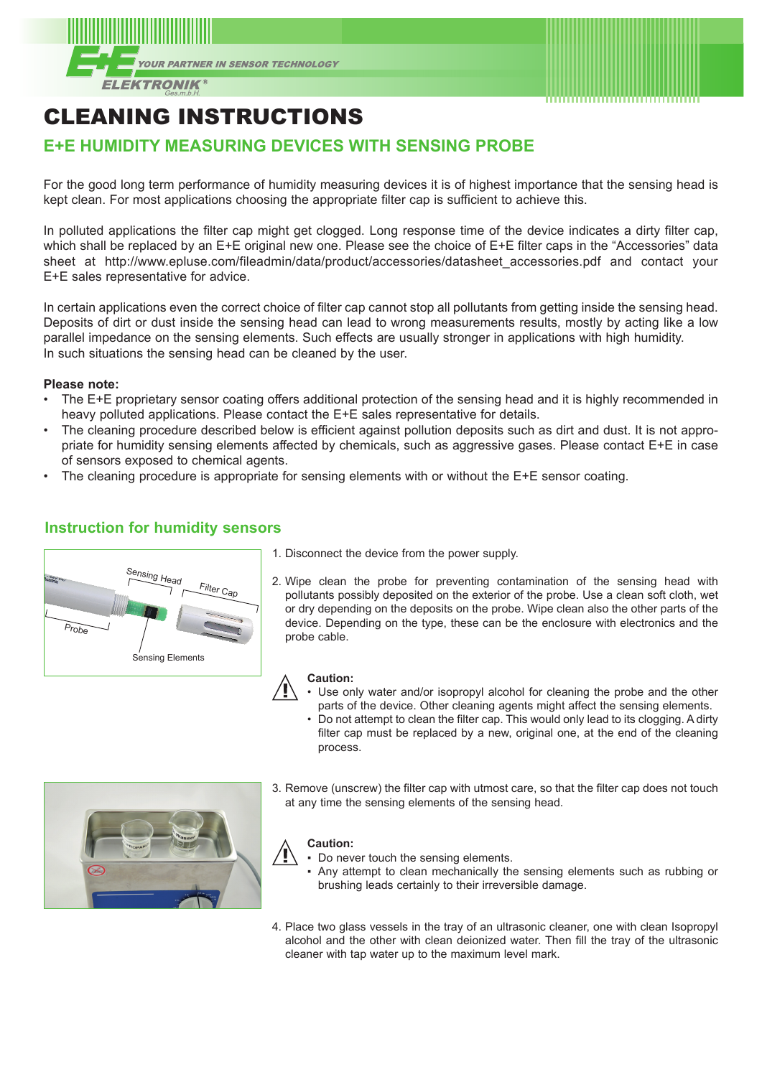



## CLEANING INSTRUCTIONS

## **E+E HUMIDITY MEASURING DEVICES WITH SENSING PROBE**

For the good long term performance of humidity measuring devices it is of highest importance that the sensing head is kept clean. For most applications choosing the appropriate filter cap is sufficient to achieve this.

In polluted applications the filter cap might get clogged. Long response time of the device indicates a dirty filter cap, which shall be replaced by an E+E original new one. Please see the choice of E+E filter caps in the "Accessories" data sheet at http://www.epluse.com/fileadmin/data/product/accessories/datasheet\_accessories.pdf and contact your E+E sales representative for advice.

In certain applications even the correct choice of filter cap cannot stop all pollutants from getting inside the sensing head. Deposits of dirt or dust inside the sensing head can lead to wrong measurements results, mostly by acting like a low parallel impedance on the sensing elements. Such effects are usually stronger in applications with high humidity. In such situations the sensing head can be cleaned by the user.

#### **Please note:**

- The E+E proprietary sensor coating offers additional protection of the sensing head and it is highly recommended in heavy polluted applications. Please contact the E+E sales representative for details.
- The cleaning procedure described below is efficient against pollution deposits such as dirt and dust. It is not appropriate for humidity sensing elements affected by chemicals, such as aggressive gases. Please contact E+E in case of sensors exposed to chemical agents.
- The cleaning procedure is appropriate for sensing elements with or without the E+E sensor coating.

# nsing Head Filter Cap Probe Sensing Elements

**Instruction for humidity sensors**

- 1. Disconnect the device from the power supply.
- 2. Wipe clean the probe for preventing contamination of the sensing head with pollutants possibly deposited on the exterior of the probe. Use a clean soft cloth, wet or dry depending on the deposits on the probe. Wipe clean also the other parts of the device. Depending on the type, these can be the enclosure with electronics and the probe cable.

#### **Caution:**

- Use only water and/or isopropyl alcohol for cleaning the probe and the other parts of the device. Other cleaning agents might affect the sensing elements.
- Do not attempt to clean the filter cap. This would only lead to its clogging. A dirty filter cap must be replaced by a new, original one, at the end of the cleaning process.



3. Remove (unscrew) the filter cap with utmost care, so that the filter cap does not touch at any time the sensing elements of the sensing head.

#### **Caution:**

- Do never touch the sensing elements.
- Any attempt to clean mechanically the sensing elements such as rubbing or brushing leads certainly to their irreversible damage.
- 4. Place two glass vessels in the tray of an ultrasonic cleaner, one with clean Isopropyl alcohol and the other with clean deionized water. Then fill the tray of the ultrasonic cleaner with tap water up to the maximum level mark.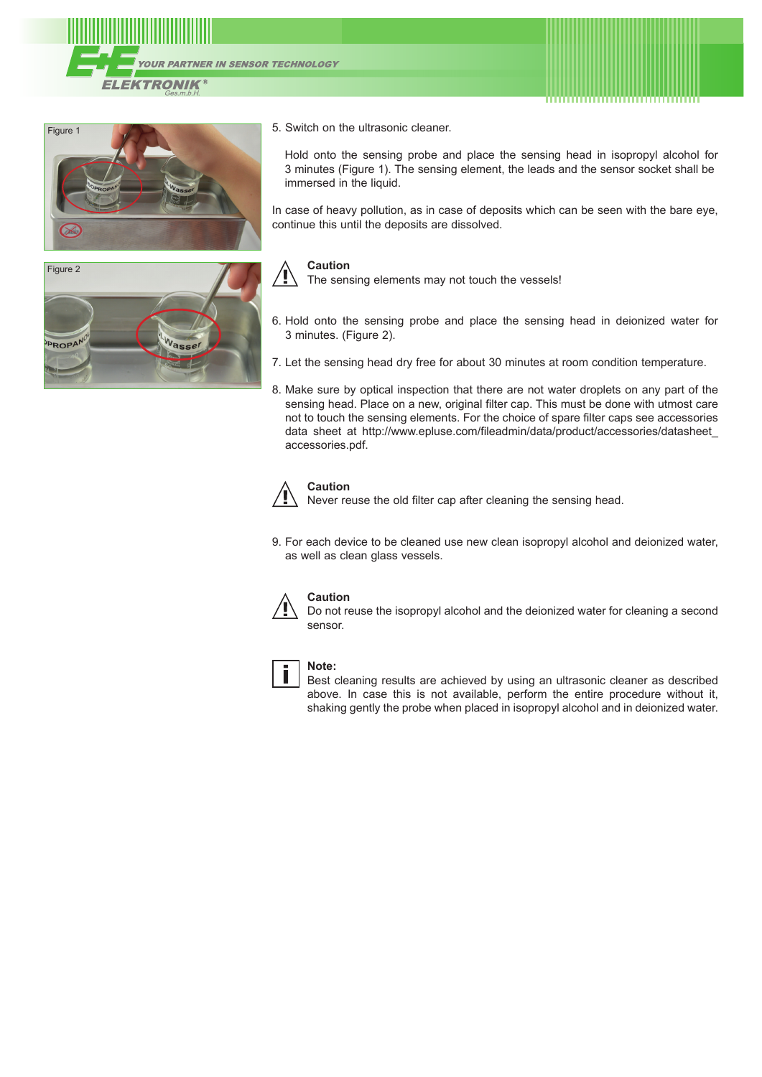





#### 5. Switch on the ultrasonic cleaner.

Hold onto the sensing probe and place the sensing head in isopropyl alcohol for 3 minutes (Figure 1). The sensing element, the leads and the sensor socket shall be immersed in the liquid.

In case of heavy pollution, as in case of deposits which can be seen with the bare eye, continue this until the deposits are dissolved.



#### **Caution**

The sensing elements may not touch the vessels!

- 6. Hold onto the sensing probe and place the sensing head in deionized water for 3 minutes. (Figure 2).
- 7. Let the sensing head dry free for about 30 minutes at room condition temperature.
- 8. Make sure by optical inspection that there are not water droplets on any part of the sensing head. Place on a new, original filter cap. This must be done with utmost care not to touch the sensing elements. For the choice of spare filter caps see accessories data sheet at http://www.epluse.com/fileadmin/data/product/accessories/datasheet\_ accessories.pdf.



#### **Caution**

Never reuse the old filter cap after cleaning the sensing head.

9. For each device to be cleaned use new clean isopropyl alcohol and deionized water, as well as clean glass vessels.



#### **Caution**

Do not reuse the isopropyl alcohol and the deionized water for cleaning a second sensor.



#### **Note:**

Best cleaning results are achieved by using an ultrasonic cleaner as described above. In case this is not available, perform the entire procedure without it, shaking gently the probe when placed in isopropyl alcohol and in deionized water.